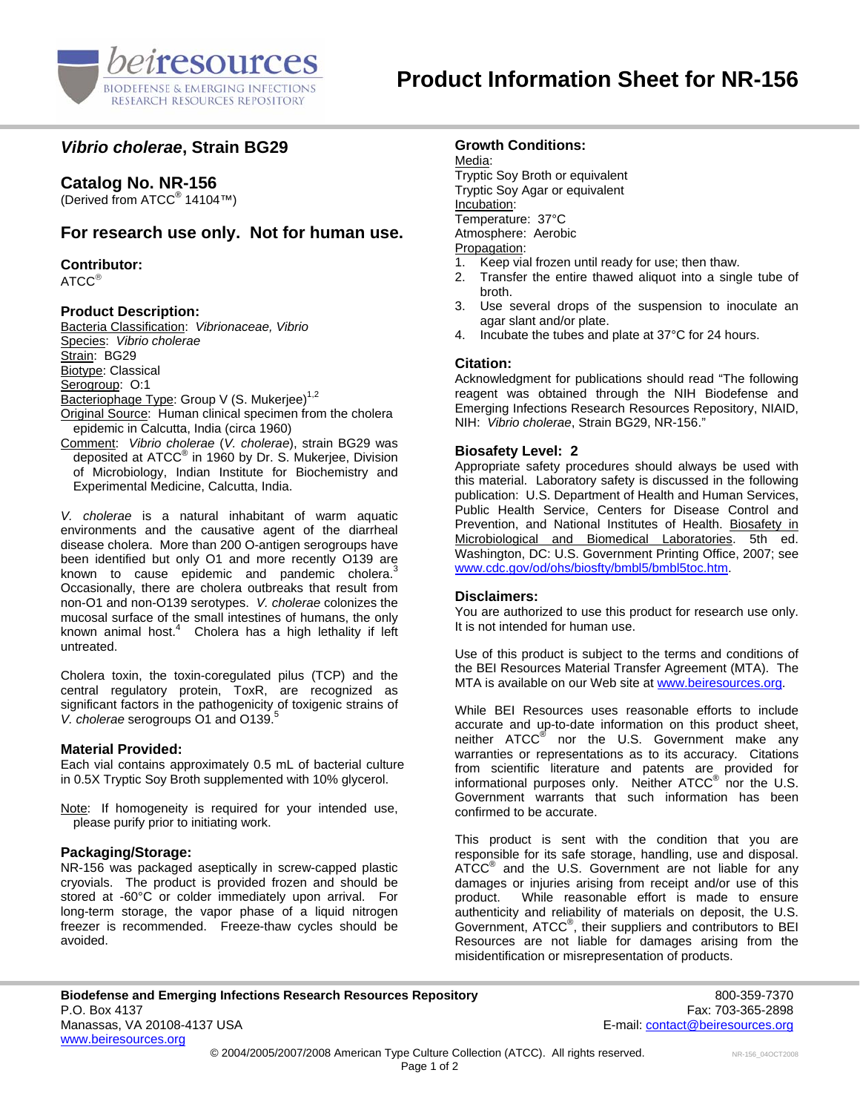

# *Vibrio cholerae***, Strain BG29**

# **Catalog No. NR-156**

(Derived from ATCC® 14104™)

## **For research use only. Not for human use.**

**Contributor:**

ATCC®

## **Product Description:**

Bacteria Classification: *Vibrionaceae, Vibrio*  Species: *Vibrio cholerae* Strain: BG29 Biotype: Classical Serogroup: O:1 Bacteriophage Type: Group V (S. Mukerjee)<sup>1,2</sup> Original Source: Human clinical specimen from the cholera epidemic in Calcutta, India (circa 1960)

Comment: *Vibrio cholerae* (*V. cholerae*), strain BG29 was deposited at ATCC® in 1960 by Dr. S. Mukerjee, Division of Microbiology, Indian Institute for Biochemistry and Experimental Medicine, Calcutta, India.

*V. cholerae* is a natural inhabitant of warm aquatic environments and the causative agent of the diarrheal disease cholera. More than 200 O-antigen serogroups have been identified but only O1 and more recently O139 are known to cause epidemic and pandemic cholera.<sup>3</sup> Occasionally, there are cholera outbreaks that result from non-O1 and non-O139 serotypes. *V. cholerae* colonizes the mucosal surface of the small intestines of humans, the only known animal host. $4$  Cholera has a high lethality if left untreated.

Cholera toxin, the toxin-coregulated pilus (TCP) and the central regulatory protein, ToxR, are recognized as significant factors in the pathogenicity of toxigenic strains of *V. cholerae* serogroups O1 and O139.<sup>5</sup>

### **Material Provided:**

Each vial contains approximately 0.5 mL of bacterial culture in 0.5X Tryptic Soy Broth supplemented with 10% glycerol.

Note: If homogeneity is required for your intended use, please purify prior to initiating work.

### **Packaging/Storage:**

NR-156 was packaged aseptically in screw-capped plastic cryovials. The product is provided frozen and should be stored at -60°C or colder immediately upon arrival. For long-term storage, the vapor phase of a liquid nitrogen freezer is recommended. Freeze-thaw cycles should be avoided.

## **Growth Conditions:**

Media: Tryptic Soy Broth or equivalent Tryptic Soy Agar or equivalent Incubation: Temperature: 37°C Atmosphere: Aerobic Propagation:

- 1. Keep vial frozen until ready for use; then thaw.
- 2. Transfer the entire thawed aliquot into a single tube of broth.
- 3. Use several drops of the suspension to inoculate an agar slant and/or plate.
- 4. Incubate the tubes and plate at 37°C for 24 hours.

### **Citation:**

Acknowledgment for publications should read "The following reagent was obtained through the NIH Biodefense and Emerging Infections Research Resources Repository, NIAID, NIH: *Vibrio cholerae*, Strain BG29, NR-156."

### **Biosafety Level: 2**

Appropriate safety procedures should always be used with this material. Laboratory safety is discussed in the following publication: U.S. Department of Health and Human Services, Public Health Service, Centers for Disease Control and Prevention, and National Institutes of Health. Biosafety in Microbiological and Biomedical Laboratories. 5th ed. Washington, DC: U.S. Government Printing Office, 2007; see [www.cdc.gov/od/ohs/biosfty/bmbl5/bmbl5toc.htm.](http://www.cdc.gov/od/ohs/biosfty/bmbl5/bmbl5toc.htm)

### **Disclaimers:**

You are authorized to use this product for research use only. It is not intended for human use.

Use of this product is subject to the terms and conditions of the BEI Resources Material Transfer Agreement (MTA). The MTA is available on our Web site at [www.beiresources.org](http://www.beiresources.org/).

While BEI Resources uses reasonable efforts to include accurate and up-to-date information on this product sheet, neither ATCC<sup>®</sup> nor the U.S. Government make any warranties or representations as to its accuracy. Citations from scientific literature and patents are provided for informational purposes only. Neither  $\tt{ATCC}^{\circledR}$  nor the U.S. Government warrants that such information has been confirmed to be accurate.

This product is sent with the condition that you are responsible for its safe storage, handling, use and disposal. ATCC<sup>®</sup> and the U.S. Government are not liable for any damages or injuries arising from receipt and/or use of this product. While reasonable effort is made to ensure authenticity and reliability of materials on deposit, the U.S. Government, ATCC® , their suppliers and contributors to BEI Resources are not liable for damages arising from the misidentification or misrepresentation of products.